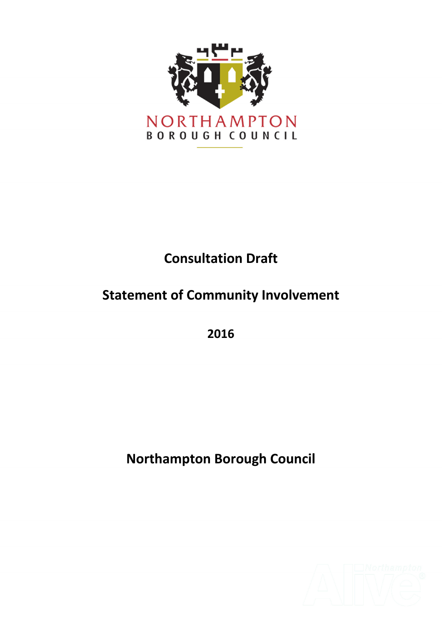

### **Consultation Draft**

### **Statement of Community Involvement**

**2016** 

**Northampton Borough Council**

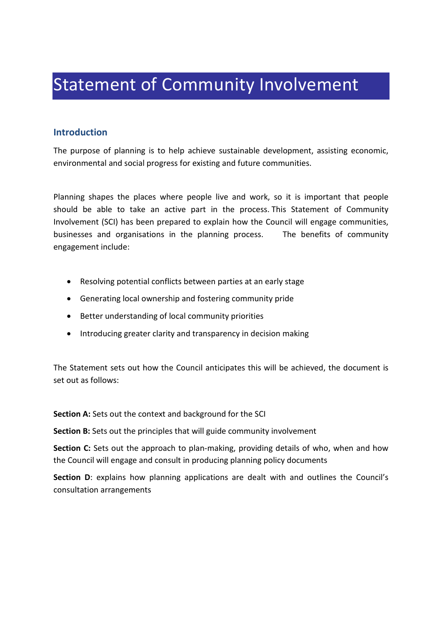## Statement of Community Involvement

#### **Introduction**

The purpose of planning is to help achieve sustainable development, assisting economic, environmental and social progress for existing and future communities.

Planning shapes the places where people live and work, so it is important that people should be able to take an active part in the process. This Statement of Community Involvement (SCI) has been prepared to explain how the Council will engage communities, businesses and organisations in the planning process. The benefits of community engagement include:

- Resolving potential conflicts between parties at an early stage
- Generating local ownership and fostering community pride
- Better understanding of local community priorities
- Introducing greater clarity and transparency in decision making

The Statement sets out how the Council anticipates this will be achieved, the document is set out as follows:

**Section A:** Sets out the context and background for the SCI

**Section B:** Sets out the principles that will guide community involvement

**Section C:** Sets out the approach to plan-making, providing details of who, when and how the Council will engage and consult in producing planning policy documents

**Section D**: explains how planning applications are dealt with and outlines the Council's consultation arrangements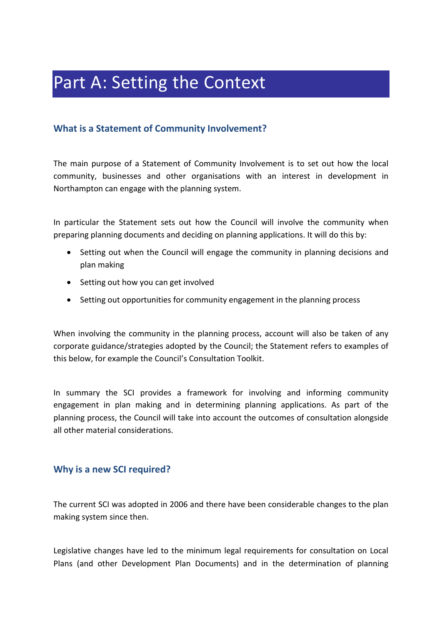# Part A: Setting the Context

#### **What is a Statement of Community Involvement?**

The main purpose of a Statement of Community Involvement is to set out how the local community, businesses and other organisations with an interest in development in Northampton can engage with the planning system.

In particular the Statement sets out how the Council will involve the community when preparing planning documents and deciding on planning applications. It will do this by:

- Setting out when the Council will engage the community in planning decisions and plan making
- Setting out how you can get involved
- Setting out opportunities for community engagement in the planning process

When involving the community in the planning process, account will also be taken of any corporate guidance/strategies adopted by the Council; the Statement refers to examples of this below, for example the Council's Consultation Toolkit.

In summary the SCI provides a framework for involving and informing community engagement in plan making and in determining planning applications. As part of the planning process, the Council will take into account the outcomes of consultation alongside all other material considerations.

#### **Why is a new SCI required?**

The current SCI was adopted in 2006 and there have been considerable changes to the plan making system since then.

Legislative changes have led to the minimum legal requirements for consultation on Local Plans (and other Development Plan Documents) and in the determination of planning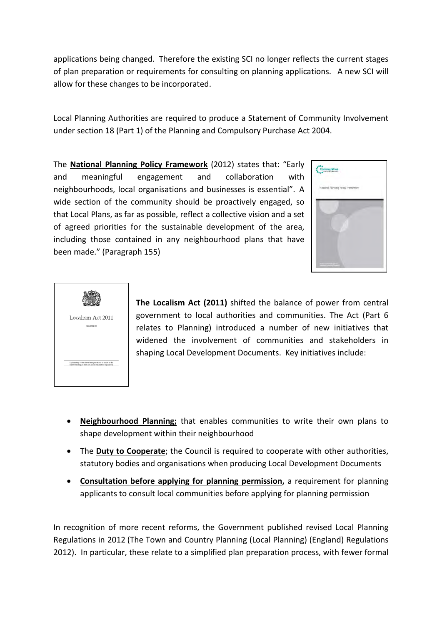applications being changed. Therefore the existing SCI no longer reflects the current stages of plan preparation or requirements for consulting on planning applications. A new SCI will allow for these changes to be incorporated.

Local Planning Authorities are required to produce a Statement of Community Involvement under section 18 (Part 1) of the Planning and Compulsory Purchase Act 2004.

The **[National Planning Policy Framework](https://www.gov.uk/government/publications/national-planning-policy-framework--2)** (2012) states that: "Early and meaningful engagement and collaboration with neighbourhoods, local organisations and businesses is essential". A wide section of the community should be proactively engaged, so that Local Plans, as far as possible, reflect a collective vision and a set of agreed priorities for the sustainable development of the area, including those contained in any neighbourhood plans that have been made." (Paragraph 155)





**The Localism Act (2011)** shifted the balance of power from central government to local authorities and communities. The Act (Part 6 relates to Planning) introduced a number of new initiatives that widened the involvement of communities and stakeholders in shaping Local Development Documents. Key initiatives include:

- **Neighbourhood Planning;** that enables communities to write their own plans to shape development within their neighbourhood
- The **Duty to Cooperate**; the Council is required to cooperate with other authorities, statutory bodies and organisations when producing Local Development Documents
- **[Consultation before applying for planning permission,](#page-14-0)** a requirement for planning applicants to consult local communities before applying for planning permission

In recognition of more recent reforms, the Government published revised Local Planning Regulations in 2012 (The Town and Country Planning (Local Planning) (England) Regulations 2012). In particular, these relate to a simplified plan preparation process, with fewer formal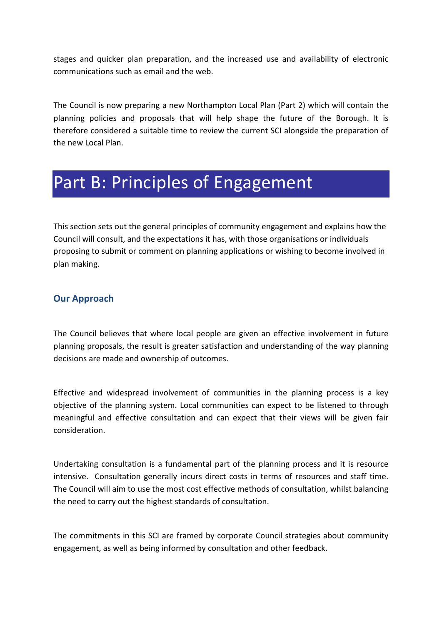stages and quicker plan preparation, and the increased use and availability of electronic communications such as email and the web.

The Council is now preparing a new Northampton Local Plan (Part 2) which will contain the planning policies and proposals that will help shape the future of the Borough. It is therefore considered a suitable time to review the current SCI alongside the preparation of the new Local Plan.

### Part B: Principles of Engagement

This section sets out the general principles of community engagement and explains how the Council will consult, and the expectations it has, with those organisations or individuals proposing to submit or comment on planning applications or wishing to become involved in plan making.

#### **Our Approach**

The Council believes that where local people are given an effective involvement in future planning proposals, the result is greater satisfaction and understanding of the way planning decisions are made and ownership of outcomes.

Effective and widespread involvement of communities in the planning process is a key objective of the planning system. Local communities can expect to be listened to through meaningful and effective consultation and can expect that their views will be given fair consideration.

Undertaking consultation is a fundamental part of the planning process and it is resource intensive. Consultation generally incurs direct costs in terms of resources and staff time. The Council will aim to use the most cost effective methods of consultation, whilst balancing the need to carry out the highest standards of consultation.

The commitments in this SCI are framed by corporate Council strategies about community engagement, as well as being informed by consultation and other feedback.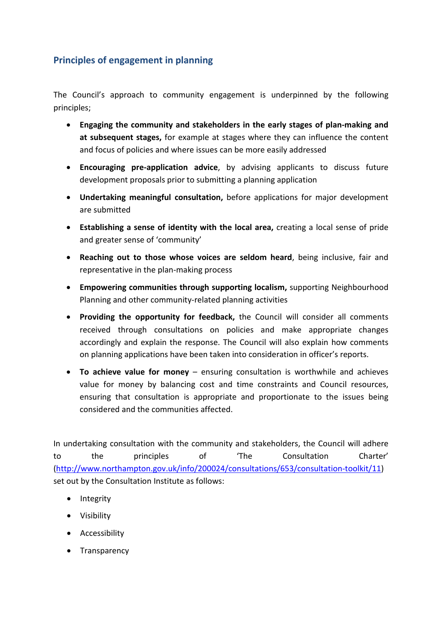#### **Principles of engagement in planning**

The Council's approach to community engagement is underpinned by the following principles;

- **Engaging the community and stakeholders in the early stages of plan-making and at subsequent stages,** for example at stages where they can influence the content and focus of policies and where issues can be more easily addressed
- **Encouraging pre-application advice**, by advising applicants to discuss future development proposals prior to submitting a planning application
- **Undertaking meaningful consultation,** before applications for major development are submitted
- **Establishing a sense of identity with the local area,** creating a local sense of pride and greater sense of 'community'
- **Reaching out to those whose voices are seldom heard**, being inclusive, fair and representative in the plan-making process
- **Empowering communities through supporting localism,** supporting Neighbourhood Planning and other community-related planning activities
- **Providing the opportunity for feedback,** the Council will consider all comments received through consultations on policies and make appropriate changes accordingly and explain the response. The Council will also explain how comments on planning applications have been taken into consideration in officer's reports.
- **To achieve value for money** ensuring consultation is worthwhile and achieves value for money by balancing cost and time constraints and Council resources, ensuring that consultation is appropriate and proportionate to the issues being considered and the communities affected.

In undertaking consultation with the community and stakeholders, the Council will adhere to the principles of 'The Consultation Charter' [\(http://www.northampton.gov.uk/info/200024/consultations/653/consultation-toolkit/11\)](http://www.northampton.gov.uk/info/200024/consultations/653/consultation-toolkit/11) set out by the Consultation Institute as follows:

- Integrity
- Visibility
- Accessibility
- Transparency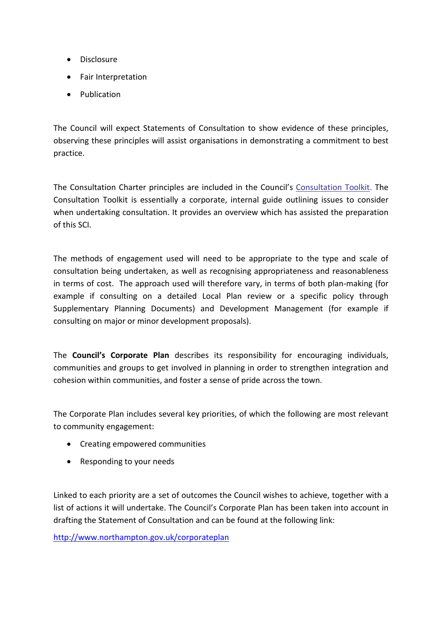- Disclosure
- Fair Interpretation
- Publication

The Council will expect Statements of Consultation to show evidence of these principles, observing these principles will assist organisations in demonstrating a commitment to best practice.

The Consultation Charter principles are included in the Council's [Consultation Toolkit.](http://www.northampton.gov.uk/info/200024/consultations/653/consultation-toolkit/) The Consultation Toolkit is essentially a corporate, internal guide outlining issues to consider when undertaking consultation. It provides an overview which has assisted the preparation of this SCI.

The methods of engagement used will need to be appropriate to the type and scale of consultation being undertaken, as well as recognising appropriateness and reasonableness in terms of cost. The approach used will therefore vary, in terms of both plan-making (for example if consulting on a detailed Local Plan review or a specific policy through Supplementary Planning Documents) and Development Management (for example if consulting on major or minor development proposals).

The **[Council's Corporate Plan](http://www.northampton.gov.uk/downloads/file/2809/2012-15_corporate_plan)** describes its responsibility for encouraging individuals, communities and groups to get involved in planning in order to strengthen integration and cohesion within communities, and foster a sense of pride across the town.

The Corporate Plan includes several key priorities, of which the following are most relevant to community engagement:

- Creating empowered communities
- Responding to your needs

Linked to each priority are a set of outcomes the Council wishes to achieve, together with a list of actions it will undertake. The Council's Corporate Plan has been taken into account in drafting the Statement of Consultation and can be found at the following link:

<http://www.northampton.gov.uk/corporateplan>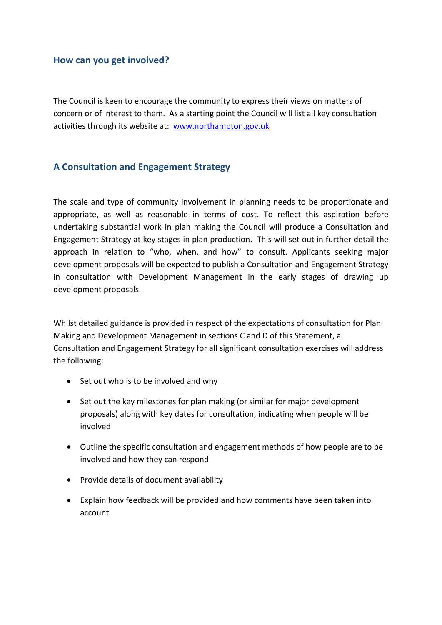#### **How can you get involved?**

The Council is keen to encourage the community to express their views on matters of concern or of interest to them. As a starting point the Council will list all key consultation activities through its website at: [www.northampton.gov.uk](http://www.northampton.gov.uk/) 

#### **A Consultation and Engagement Strategy**

The scale and type of community involvement in planning needs to be proportionate and appropriate, as well as reasonable in terms of cost. To reflect this aspiration before undertaking substantial work in plan making the Council will produce a Consultation and Engagement Strategy at key stages in plan production. This will set out in further detail the approach in relation to "who, when, and how" to consult. Applicants seeking major development proposals will be expected to publish a Consultation and Engagement Strategy in consultation with Development Management in the early stages of drawing up development proposals.

Whilst detailed guidance is provided in respect of the expectations of consultation for Plan Making and Development Management in sections C and D of this Statement, a Consultation and Engagement Strategy for all significant consultation exercises will address the following:

- Set out who is to be involved and why
- Set out the key milestones for plan making (or similar for major development proposals) along with key dates for consultation, indicating when people will be involved
- Outline the specific consultation and engagement methods of how people are to be involved and how they can respond
- Provide details of document availability
- Explain how feedback will be provided and how comments have been taken into account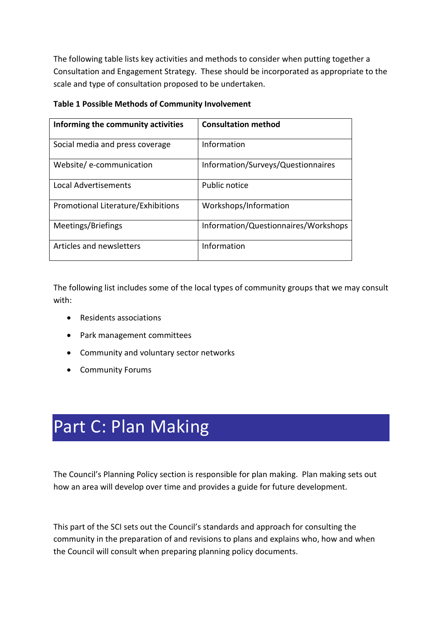The following table lists key activities and methods to consider when putting together a Consultation and Engagement Strategy. These should be incorporated as appropriate to the scale and type of consultation proposed to be undertaken.

| Informing the community activities | <b>Consultation method</b>           |
|------------------------------------|--------------------------------------|
| Social media and press coverage    | Information                          |
| Website/e-communication            | Information/Surveys/Questionnaires   |
| Local Advertisements               | Public notice                        |
| Promotional Literature/Exhibitions | Workshops/Information                |
| Meetings/Briefings                 | Information/Questionnaires/Workshops |
| Articles and newsletters           | Information                          |

#### **Table 1 Possible Methods of Community Involvement**

The following list includes some of the local types of community groups that we may consult with:

- Residents associations
- Park management committees
- Community and voluntary sector networks
- Community Forums

# Part C: Plan Making

The Council's Planning Policy section is responsible for plan making. Plan making sets out how an area will develop over time and provides a guide for future development.

This part of the SCI sets out the Council's standards and approach for consulting the community in the preparation of and revisions to plans and explains who, how and when the Council will consult when preparing planning policy documents.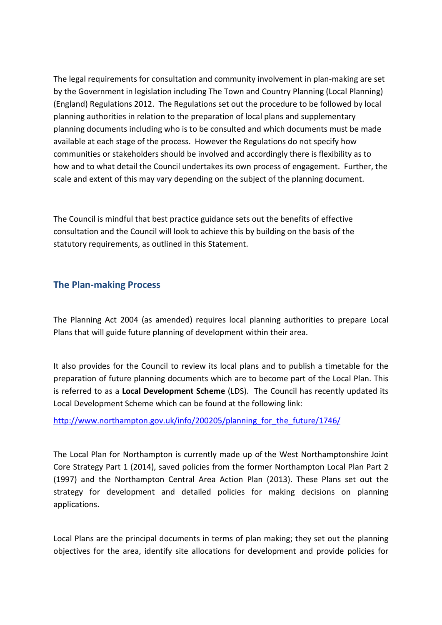The legal requirements for consultation and community involvement in plan-making are set by the Government in legislation including The Town and Country Planning (Local Planning) (England) Regulations 2012. The Regulations set out the procedure to be followed by local planning authorities in relation to the preparation of local plans and supplementary planning documents including who is to be consulted and which documents must be made available at each stage of the process. However the Regulations do not specify how communities or stakeholders should be involved and accordingly there is flexibility as to how and to what detail the Council undertakes its own process of engagement. Further, the scale and extent of this may vary depending on the subject of the planning document.

The Council is mindful that best practice guidance sets out the benefits of effective consultation and the Council will look to achieve this by building on the basis of the statutory requirements, as outlined in this Statement.

#### **The Plan-making Process**

The Planning Act 2004 (as amended) requires local planning authorities to prepare Local Plans that will guide future planning of development within their area.

It also provides for the Council to review its local plans and to publish a timetable for the preparation of future planning documents which are to become part of the Local Plan. This is referred to as a **Local Development Scheme** (LDS). The Council has recently updated its Local Development Scheme which can be found at the following link:

[http://www.northampton.gov.uk/info/200205/planning\\_for\\_the\\_future/1746/](http://www.northampton.gov.uk/info/200205/planning_for_the_future/1746/)

The Local Plan for Northampton is currently made up of the West Northamptonshire Joint Core Strategy Part 1 (2014), saved policies from the former Northampton Local Plan Part 2 (1997) and the Northampton Central Area Action Plan (2013). These Plans set out the strategy for development and detailed policies for making decisions on planning applications.

Local Plans are the principal documents in terms of plan making; they set out the planning objectives for the area, identify site allocations for development and provide policies for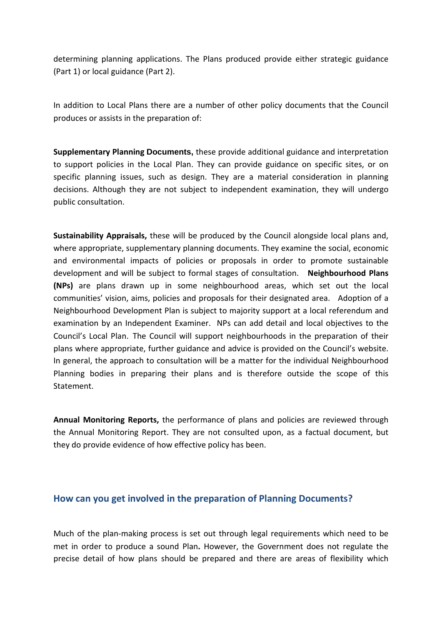determining planning applications. The Plans produced provide either strategic guidance (Part 1) or local guidance (Part 2).

In addition to Local Plans there are a number of other policy documents that the Council produces or assists in the preparation of:

**Supplementary Planning Documents,** these provide additional guidance and interpretation to support policies in the Local Plan. They can provide guidance on specific sites, or on specific planning issues, such as design. They are a material consideration in planning decisions. Although they are not subject to independent examination, they will undergo public consultation.

**Sustainability Appraisals,** these will be produced by the Council alongside local plans and, where appropriate, supplementary planning documents. They examine the social, economic and environmental impacts of policies or proposals in order to promote sustainable development and will be subject to formal stages of consultation. **Neighbourhood Plans (NPs)** are plans drawn up in some neighbourhood areas, which set out the local communities' vision, aims, policies and proposals for their designated area. Adoption of a Neighbourhood Development Plan is subject to majority support at a local referendum and examination by an Independent Examiner. NPs can add detail and local objectives to the Council's Local Plan. The Council will support neighbourhoods in the preparation of their plans where appropriate, further guidance and advice is provided on the Council's website. In general, the approach to consultation will be a matter for the individual Neighbourhood Planning bodies in preparing their plans and is therefore outside the scope of this Statement.

**Annual Monitoring Reports,** the performance of plans and policies are reviewed through the Annual Monitoring Report. They are not consulted upon, as a factual document, but they do provide evidence of how effective policy has been.

#### **How can you get involved in the preparation of Planning Documents?**

Much of the plan-making process is set out through legal requirements which need to be met in order to produce a sound Plan**.** However, the Government does not regulate the precise detail of how plans should be prepared and there are areas of flexibility which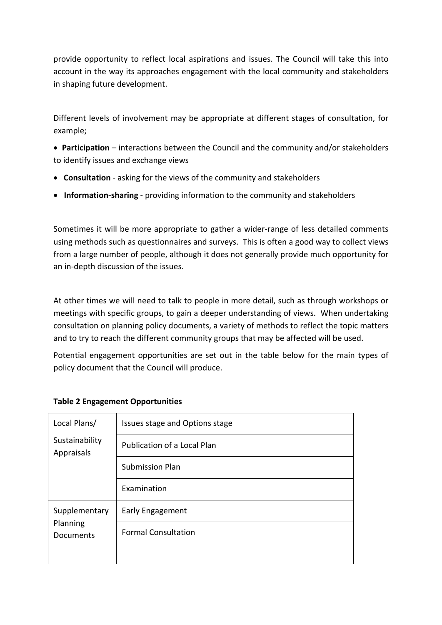provide opportunity to reflect local aspirations and issues. The Council will take this into account in the way its approaches engagement with the local community and stakeholders in shaping future development.

Different levels of involvement may be appropriate at different stages of consultation, for example;

- **Participation** interactions between the Council and the community and/or stakeholders to identify issues and exchange views
- **Consultation** asking for the views of the community and stakeholders
- **Information-sharing** providing information to the community and stakeholders

Sometimes it will be more appropriate to gather a wider-range of less detailed comments using methods such as questionnaires and surveys. This is often a good way to collect views from a large number of people, although it does not generally provide much opportunity for an in-depth discussion of the issues.

At other times we will need to talk to people in more detail, such as through workshops or meetings with specific groups, to gain a deeper understanding of views. When undertaking consultation on planning policy documents, a variety of methods to reflect the topic matters and to try to reach the different community groups that may be affected will be used.

Potential engagement opportunities are set out in the table below for the main types of policy document that the Council will produce.

| Local Plans/                           | Issues stage and Options stage |
|----------------------------------------|--------------------------------|
| Sustainability<br>Appraisals           | Publication of a Local Plan    |
|                                        | <b>Submission Plan</b>         |
|                                        | Examination                    |
| Supplementary<br>Planning<br>Documents | Early Engagement               |
|                                        | <b>Formal Consultation</b>     |
|                                        |                                |

#### **Table 2 Engagement Opportunities**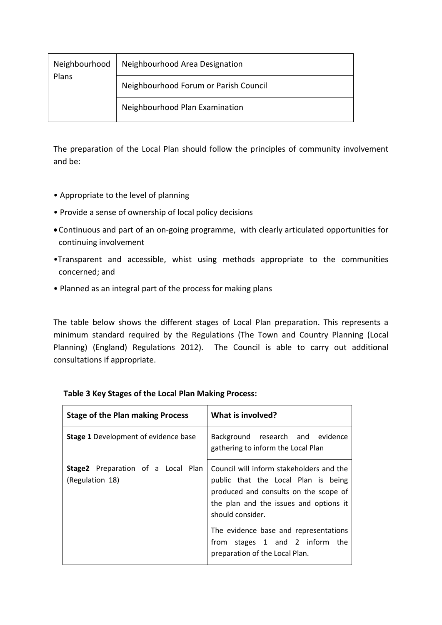| Neighbourhood  <br>Plans | Neighbourhood Area Designation        |
|--------------------------|---------------------------------------|
|                          | Neighbourhood Forum or Parish Council |
|                          | Neighbourhood Plan Examination        |

The preparation of the Local Plan should follow the principles of community involvement and be:

- Appropriate to the level of planning
- Provide a sense of ownership of local policy decisions
- •Continuous and part of an on-going programme, with clearly articulated opportunities for continuing involvement
- •Transparent and accessible, whist using methods appropriate to the communities concerned; and
- Planned as an integral part of the process for making plans

The table below shows the different stages of Local Plan preparation. This represents a minimum standard required by the Regulations (The Town and Country Planning (Local Planning) (England) Regulations 2012). The Council is able to carry out additional consultations if appropriate.

| <b>Stage of the Plan making Process</b>               | What is involved?                                                                                                                                                                      |
|-------------------------------------------------------|----------------------------------------------------------------------------------------------------------------------------------------------------------------------------------------|
| <b>Stage 1</b> Development of evidence base           | Background research and evidence<br>gathering to inform the Local Plan                                                                                                                 |
| Stage2 Preparation of a Local Plan<br>(Regulation 18) | Council will inform stakeholders and the<br>public that the Local Plan is being<br>produced and consults on the scope of<br>the plan and the issues and options it<br>should consider. |
|                                                       | The evidence base and representations<br>from stages 1 and 2 inform the<br>preparation of the Local Plan.                                                                              |

#### **Table 3 Key Stages of the Local Plan Making Process:**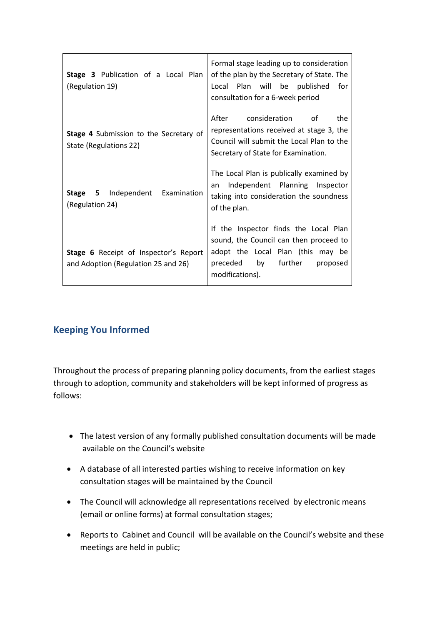| Stage 3 Publication of a Local Plan<br>(Regulation 19)                       | Formal stage leading up to consideration<br>of the plan by the Secretary of State. The<br>Local Plan will be published<br>for<br>consultation for a 6-week period          |
|------------------------------------------------------------------------------|----------------------------------------------------------------------------------------------------------------------------------------------------------------------------|
| Stage 4 Submission to the Secretary of<br>State (Regulations 22)             | After<br>consideration<br>of<br>the<br>representations received at stage 3, the<br>Council will submit the Local Plan to the<br>Secretary of State for Examination.        |
| <b>Stage 5</b> Independent<br>Examination<br>(Regulation 24)                 | The Local Plan is publically examined by<br>Independent Planning Inspector<br>an<br>taking into consideration the soundness<br>of the plan.                                |
| Stage 6 Receipt of Inspector's Report<br>and Adoption (Regulation 25 and 26) | If the Inspector finds the Local Plan<br>sound, the Council can then proceed to<br>adopt the Local Plan (this may be<br>preceded by further<br>proposed<br>modifications). |

#### **Keeping You Informed**

Throughout the process of preparing planning policy documents, from the earliest stages through to adoption, community and stakeholders will be kept informed of progress as follows:

- The latest version of any formally published consultation documents will be made available on the Council's website
- A database of all interested parties wishing to receive information on key consultation stages will be maintained by the Council
- The Council will acknowledge all representations received by electronic means (email or online forms) at formal consultation stages;
- Reports to Cabinet and Council will be available on the Council's website and these meetings are held in public;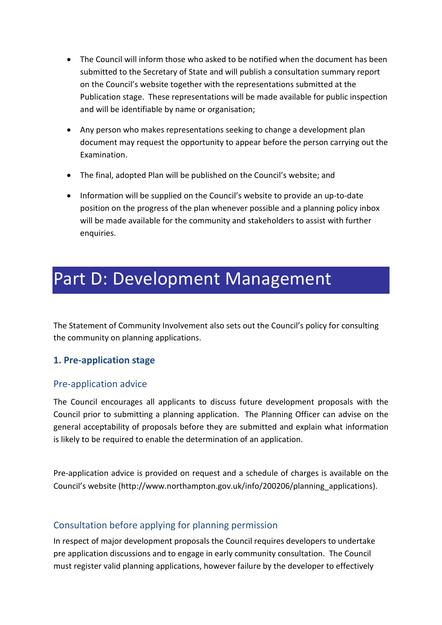- The Council will inform those who asked to be notified when the document has been submitted to the Secretary of State and will publish a consultation summary report on the Council's website together with the representations submitted at the Publication stage. These representations will be made available for public inspection and will be identifiable by name or organisation;
- Any person who makes representations seeking to change a development plan document may request the opportunity to appear before the person carrying out the Examination.
- The final, adopted Plan will be published on the Council's website; and
- Information will be supplied on the Council's website to provide an up-to-date position on the progress of the plan whenever possible and a planning policy inbox will be made available for the community and stakeholders to assist with further enquiries.

### Part D: Development Management

The Statement of Community Involvement also sets out the Council's policy for consulting the community on planning applications.

#### **1. Pre-application stage**

#### Pre-application advice

The Council encourages all applicants to discuss future development proposals with the Council prior to submitting a planning application. The Planning Officer can advise on the general acceptability of proposals before they are submitted and explain what information is likely to be required to enable the determination of an application.

Pre-application advice is provided on request and a schedule of charges is available on the Council's website (http://www.northampton.gov.uk/info/200206/planning\_applications).

#### <span id="page-14-0"></span>Consultation before applying for planning permission

In respect of major development proposals the Council requires developers to undertake pre application discussions and to engage in early community consultation. The Council must register valid planning applications, however failure by the developer to effectively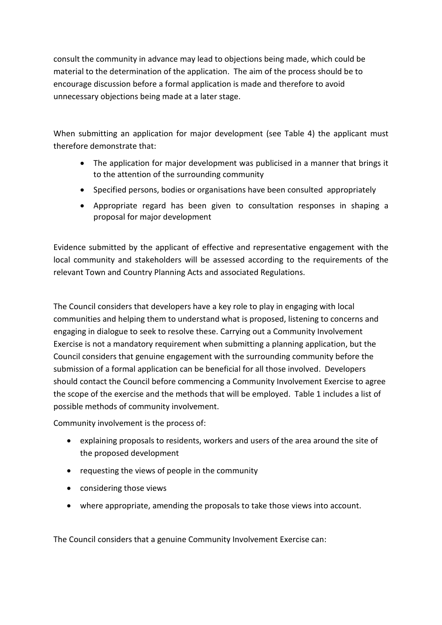consult the community in advance may lead to objections being made, which could be material to the determination of the application. The aim of the process should be to encourage discussion before a formal application is made and therefore to avoid unnecessary objections being made at a later stage.

When submitting an application for major development (see Table 4) the applicant must therefore demonstrate that:

- The application for major development was publicised in a manner that brings it to the attention of the surrounding community
- Specified persons, bodies or organisations have been consulted appropriately
- Appropriate regard has been given to consultation responses in shaping a proposal for major development

Evidence submitted by the applicant of effective and representative engagement with the local community and stakeholders will be assessed according to the requirements of the relevant Town and Country Planning Acts and associated Regulations.

The Council considers that developers have a key role to play in engaging with local communities and helping them to understand what is proposed, listening to concerns and engaging in dialogue to seek to resolve these. Carrying out a Community Involvement Exercise is not a mandatory requirement when submitting a planning application, but the Council considers that genuine engagement with the surrounding community before the submission of a formal application can be beneficial for all those involved. Developers should contact the Council before commencing a Community Involvement Exercise to agree the scope of the exercise and the methods that will be employed. Table 1 includes a list of possible methods of community involvement.

Community involvement is the process of:

- explaining proposals to residents, workers and users of the area around the site of the proposed development
- requesting the views of people in the community
- considering those views
- where appropriate, amending the proposals to take those views into account.

The Council considers that a genuine Community Involvement Exercise can: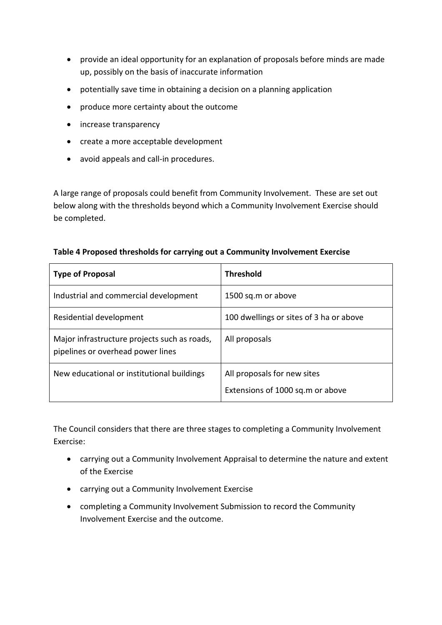- provide an ideal opportunity for an explanation of proposals before minds are made up, possibly on the basis of inaccurate information
- potentially save time in obtaining a decision on a planning application
- produce more certainty about the outcome
- increase transparency
- create a more acceptable development
- avoid appeals and call-in procedures.

A large range of proposals could benefit from Community Involvement. These are set out below along with the thresholds beyond which a Community Involvement Exercise should be completed.

#### **Table 4 Proposed thresholds for carrying out a Community Involvement Exercise**

| <b>Type of Proposal</b>                                                           | <b>Threshold</b>                                                |
|-----------------------------------------------------------------------------------|-----------------------------------------------------------------|
| Industrial and commercial development                                             | 1500 sq.m or above                                              |
| Residential development                                                           | 100 dwellings or sites of 3 ha or above                         |
| Major infrastructure projects such as roads,<br>pipelines or overhead power lines | All proposals                                                   |
| New educational or institutional buildings                                        | All proposals for new sites<br>Extensions of 1000 sq.m or above |

The Council considers that there are three stages to completing a Community Involvement Exercise:

- carrying out a Community Involvement Appraisal to determine the nature and extent of the Exercise
- carrying out a Community Involvement Exercise
- completing a Community Involvement Submission to record the Community Involvement Exercise and the outcome.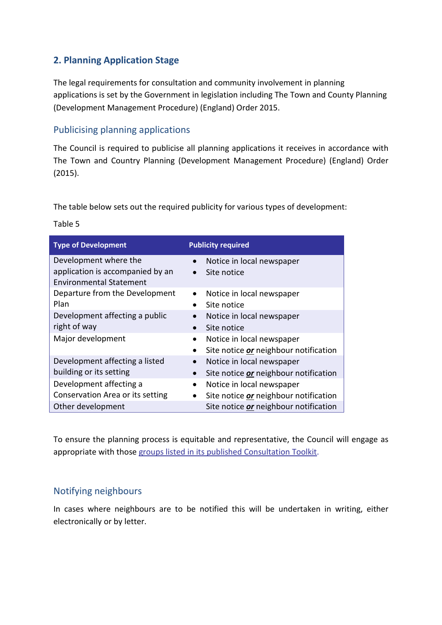#### **2. Planning Application Stage**

The legal requirements for consultation and community involvement in planning applications is set by the Government in legislation including The Town and County Planning (Development Management Procedure) (England) Order 2015.

#### Publicising planning applications

The Council is required to publicise all planning applications it receives in accordance with The Town and Country Planning (Development Management Procedure) (England) Order (2015).

The table below sets out the required publicity for various types of development:

| <b>Type of Development</b>                                | <b>Publicity required</b>                                 |
|-----------------------------------------------------------|-----------------------------------------------------------|
| Development where the<br>application is accompanied by an | Notice in local newspaper<br>$\bullet$<br>Site notice     |
| <b>Environmental Statement</b>                            | $\bullet$                                                 |
| Departure from the Development                            | Notice in local newspaper<br>$\bullet$                    |
| Plan                                                      | Site notice                                               |
| Development affecting a public                            | Notice in local newspaper<br>$\bullet$                    |
| right of way                                              | Site notice                                               |
| Major development                                         | Notice in local newspaper<br>$\bullet$                    |
|                                                           | Site notice <i>or</i> neighbour notification              |
| Development affecting a listed                            | Notice in local newspaper<br>$\bullet$                    |
| building or its setting                                   | Site notice <i>or</i> neighbour notification<br>$\bullet$ |
| Development affecting a                                   | Notice in local newspaper<br>$\bullet$                    |
| Conservation Area or its setting                          | Site notice <i>or</i> neighbour notification<br>$\bullet$ |
| Other development                                         | Site notice or neighbour notification                     |

Table 5

To ensure the planning process is equitable and representative, the Council will engage as appropriate with those [groups listed in its published Consultation Toolkit.](http://www.northampton.gov.uk/info/200024/consultations/653/consultation_toolkit/6)

#### Notifying neighbours

In cases where neighbours are to be notified this will be undertaken in writing, either electronically or by letter.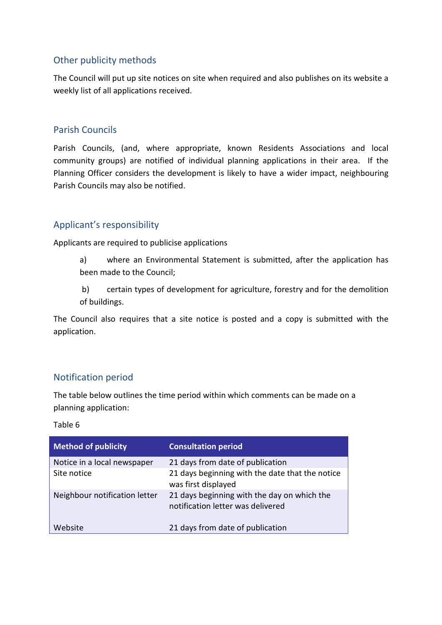#### Other publicity methods

The Council will put up site notices on site when required and also publishes on its website a weekly list of all applications received.

#### Parish Councils

Parish Councils, (and, where appropriate, known Residents Associations and local community groups) are notified of individual planning applications in their area. If the Planning Officer considers the development is likely to have a wider impact, neighbouring Parish Councils may also be notified.

#### Applicant's responsibility

Applicants are required to publicise applications

- a) where an Environmental Statement is submitted, after the application has been made to the Council;
- b) certain types of development for agriculture, forestry and for the demolition of buildings.

The Council also requires that a site notice is posted and a copy is submitted with the application.

#### Notification period

The table below outlines the time period within which comments can be made on a planning application:

#### Table 6

| <b>Method of publicity</b>    | <b>Consultation period</b>                                                       |
|-------------------------------|----------------------------------------------------------------------------------|
| Notice in a local newspaper   | 21 days from date of publication                                                 |
| Site notice                   | 21 days beginning with the date that the notice<br>was first displayed           |
| Neighbour notification letter | 21 days beginning with the day on which the<br>notification letter was delivered |
| Website                       | 21 days from date of publication                                                 |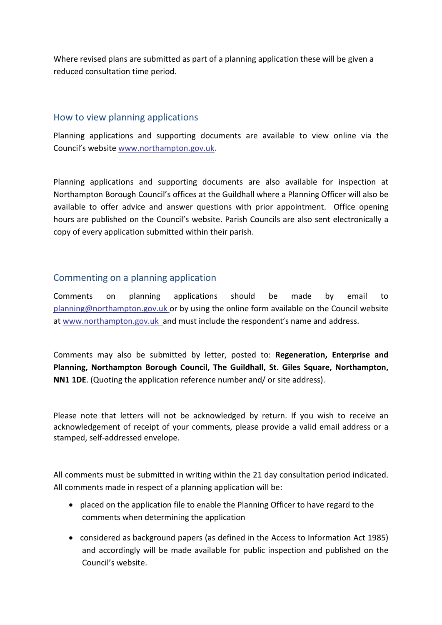Where revised plans are submitted as part of a planning application these will be given a reduced consultation time period.

#### How to view planning applications

Planning applications and supporting documents are available to view online via the Council's website [www.northampton.gov.uk.](http://www.northampton.gov.uk/)

Planning applications and supporting documents are also available for inspection at Northampton Borough Council's offices at the Guildhall where a Planning Officer will also be available to offer advice and answer questions with prior appointment. Office opening hours are published on the Council's website. Parish Councils are also sent electronically a copy of every application submitted within their parish.

#### Commenting on a planning application

Comments on planning applications should be made by email to [planning@northampton.gov.uk](mailto:planning@northampton.gov.uk) or by using the online form available on the Council website at [www.northampton.gov.uk](http://www.northampton.gov.uk/) and must include the respondent's name and address.

Comments may also be submitted by letter, posted to: **Regeneration, Enterprise and Planning, Northampton Borough Council, The Guildhall, St. Giles Square, Northampton, NN1 1DE**. (Quoting the application reference number and/ or site address).

Please note that letters will not be acknowledged by return. If you wish to receive an acknowledgement of receipt of your comments, please provide a valid email address or a stamped, self-addressed envelope.

All comments must be submitted in writing within the 21 day consultation period indicated. All comments made in respect of a planning application will be:

- placed on the application file to enable the Planning Officer to have regard to the comments when determining the application
- considered as background papers (as defined in the Access to Information Act 1985) and accordingly will be made available for public inspection and published on the Council's website.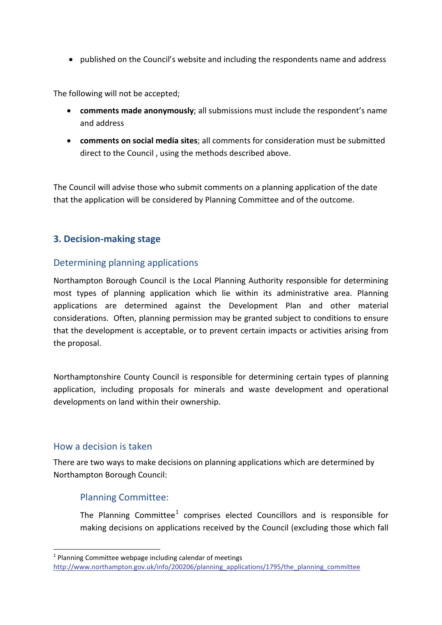• published on the Council's website and including the respondents name and address

The following will not be accepted;

- **comments made anonymously**; all submissions must include the respondent's name and address
- **comments on social media sites**; all comments for consideration must be submitted direct to the Council , using the methods described above.

The Council will advise those who submit comments on a planning application of the date that the application will be considered by Planning Committee and of the outcome.

#### **3. Decision-making stage**

#### Determining planning applications

Northampton Borough Council is the Local Planning Authority responsible for determining most types of planning application which lie within its administrative area. Planning applications are determined against the Development Plan and other material considerations. Often, planning permission may be granted subject to conditions to ensure that the development is acceptable, or to prevent certain impacts or activities arising from the proposal.

Northamptonshire County Council is responsible for determining certain types of planning application, including proposals for minerals and waste development and operational developments on land within their ownership.

#### How a decision is taken

 $\overline{a}$ 

There are two ways to make decisions on planning applications which are determined by Northampton Borough Council:

#### Planning Committee:

The Planning Committee<sup>[1](#page-20-0)</sup> comprises elected Councillors and is responsible for making decisions on applications received by the Council (excluding those which fall

<span id="page-20-0"></span> $1$  Planning Committee webpage including calendar of meetings [http://www.northampton.gov.uk/info/200206/planning\\_applications/1795/the\\_planning\\_committee](http://www.northampton.gov.uk/info/200206/planning_applications/1795/the_planning_committee)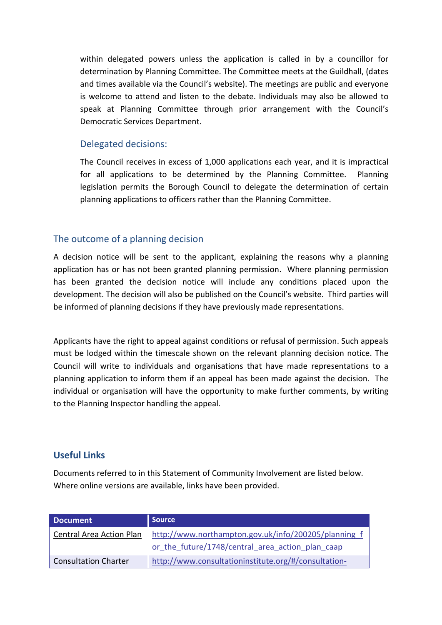within delegated powers unless the application is called in by a councillor for determination by Planning Committee. The Committee meets at the Guildhall, (dates and times available via the Council's website). The meetings are public and everyone is welcome to attend and listen to the debate. Individuals may also be allowed to speak at Planning Committee through prior arrangement with the Council's Democratic Services Department.

#### Delegated decisions:

The Council receives in excess of 1,000 applications each year, and it is impractical for all applications to be determined by the Planning Committee. Planning legislation permits the Borough Council to delegate the determination of certain planning applications to officers rather than the Planning Committee.

#### The outcome of a planning decision

A decision notice will be sent to the applicant, explaining the reasons why a planning application has or has not been granted planning permission. Where planning permission has been granted the decision notice will include any conditions placed upon the development. The decision will also be published on the Council's website. Third parties will be informed of planning decisions if they have previously made representations.

Applicants have the right to appeal against conditions or refusal of permission. Such appeals must be lodged within the timescale shown on the relevant planning decision notice. The Council will write to individuals and organisations that have made representations to a planning application to inform them if an appeal has been made against the decision. The individual or organisation will have the opportunity to make further comments, by writing to the Planning Inspector handling the appeal.

#### **Useful Links**

Documents referred to in this Statement of Community Involvement are listed below. Where online versions are available, links have been provided.

| <b>Document</b>          | <b>Source</b>                                        |
|--------------------------|------------------------------------------------------|
| Central Area Action Plan | http://www.northampton.gov.uk/info/200205/planning f |
|                          | or the future/1748/central area action plan caap     |
| Consultation Charter     | http://www.consultationinstitute.org/#/consultation- |